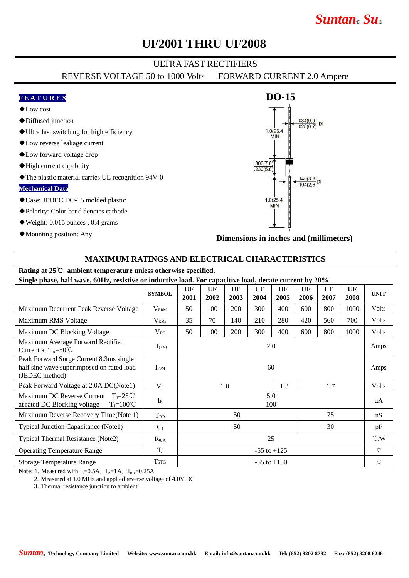# *Suntan***®** *Su***®**

## **UF2001 THRU UF2008**

### ULTRA FAST RECTIFIERS

REVERSE VOLTAGE 50 to 1000 Volts FORWARD CURRENT 2.0 Ampere

#### **F E A T U R E S**

- ◆Low cost
- ◆Diffused junction
- ◆Ultra fast switching for high efficiency
- ◆Low reverse leakage current
- ◆Low forward voltage drop
- ◆High current capability
- ◆The plastic material carries UL recognition 94V-0

#### **Mechanical Data**

- ◆Case: JEDEC DO-15 molded plastic
- ◆Polarity: Color band denotes cathode
- ◆Weight: 0.015 ounces , 0.4 grams
- ◆Mounting position: Any



**Dimensions in inches and (millimeters)**

#### **MAXIMUM RATINGS AND ELECTRICAL CHARACTERISTICS**

## **Rating at 25**℃ **ambient temperature unless otherwise specified.**

**Single phase, half wave, 60Hz, resistive or inductive load. For capacitive load, derate current by 20%**

| -                                                                                                               |                  |                 |            |            |            |            |            |            |               |              |
|-----------------------------------------------------------------------------------------------------------------|------------------|-----------------|------------|------------|------------|------------|------------|------------|---------------|--------------|
|                                                                                                                 | <b>SYMBOL</b>    | UF<br>2001      | UF<br>2002 | UF<br>2003 | UF<br>2004 | UF<br>2005 | UF<br>2006 | UF<br>2007 | UF<br>2008    | <b>UNIT</b>  |
| Maximum Recurrent Peak Reverse Voltage                                                                          | <b>VRRM</b>      | 50              | 100        | 200        | 300        | 400        | 600        | 800        | 1000          | Volts        |
| Maximum RMS Voltage                                                                                             | V <sub>RMS</sub> | 35              | 70         | 140        | 210        | 280        | 420        | 560        | 700           | Volts        |
| Maximum DC Blocking Voltage                                                                                     | $V_{DC}$         | 50              | 100        | 200        | 300        | 400        | 600        | 800        | 1000          | Volts        |
| Maximum Average Forward Rectified<br>Current at $T_A = 50^{\circ}$ C                                            | $I_{(AV)}$       | 2.0             |            |            |            |            |            |            |               | Amps         |
| Peak Forward Surge Current 8.3ms single<br>half sine wave superimposed on rated load<br>(JEDEC method)          | <b>IFSM</b>      | 60              |            |            |            |            |            |            |               | Amps         |
| Peak Forward Voltage at 2.0A DC(Note1)                                                                          | $V_{\rm F}$      | 1.3<br>1.0      |            |            |            |            | 1.7        |            | Volts         |              |
| Maximum DC Reverse Current $T_1 = 25^{\circ}C$<br>at rated DC Blocking voltage<br>$T_{\text{I}} = 100^{\circ}C$ | $I_{R}$          | 5.0<br>100      |            |            |            |            |            |            |               | μA           |
| Maximum Reverse Recovery Time(Note 1)                                                                           | $T_{RR}$         | 75<br>50        |            |            |            |            |            |            | nS            |              |
| <b>Typical Junction Capacitance (Note1)</b>                                                                     | $C_{J}$          | 50<br>30        |            |            |            |            |            |            | pF            |              |
| Typical Thermal Resistance (Note2)                                                                              | $R_{\theta JA}$  | 25              |            |            |            |            |            |            | $\degree$ C/W |              |
| <b>Operating Temperature Range</b>                                                                              | $T_{J}$          | $-55$ to $+125$ |            |            |            |            |            |            |               | °C           |
| <b>Storage Temperature Range</b>                                                                                | <b>TSTG</b>      | $-55$ to $+150$ |            |            |            |            |            |            |               | $^{\circ}$ C |

**Note:** 1. Measured with  $I_F=0.5A$ ,  $I_R=1A$ ,  $I_{RR}=0.25A$ 

2. Measured at 1.0 MHz and applied reverse voltage of 4.0V DC

3. Thermal resistance junction to ambient